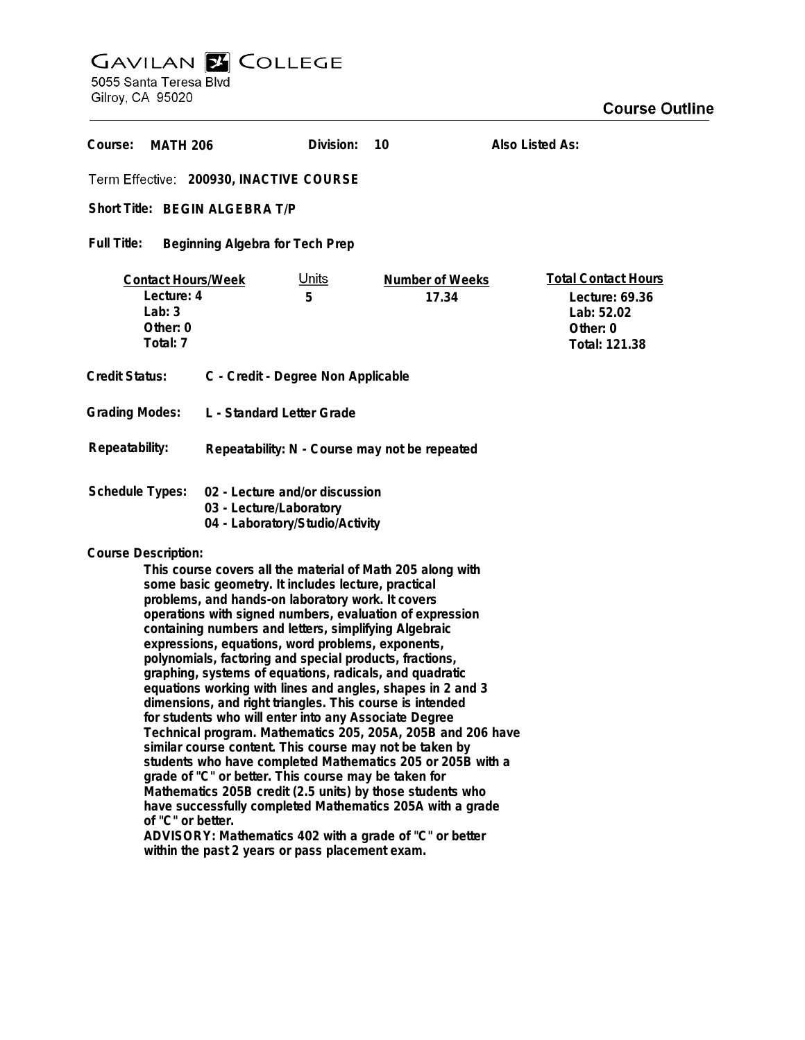## GAVILAN E COLLEGE<br>5055 Santa Teresa Blvd<br>Gilroy, CA 95020

| Course:<br><b>MATH 206</b>                                                                                                                                                                                                                                                                                                                                                                                                                                                                                                                                                                                                                                                                                                                                                                                                                                                                                                                                                                                                                                                                                                                                                                           |  | Division:         | 10                              | Also Listed As:                                                                         |
|------------------------------------------------------------------------------------------------------------------------------------------------------------------------------------------------------------------------------------------------------------------------------------------------------------------------------------------------------------------------------------------------------------------------------------------------------------------------------------------------------------------------------------------------------------------------------------------------------------------------------------------------------------------------------------------------------------------------------------------------------------------------------------------------------------------------------------------------------------------------------------------------------------------------------------------------------------------------------------------------------------------------------------------------------------------------------------------------------------------------------------------------------------------------------------------------------|--|-------------------|---------------------------------|-----------------------------------------------------------------------------------------|
| Term Effective: 200930, INACTIVE COURSE                                                                                                                                                                                                                                                                                                                                                                                                                                                                                                                                                                                                                                                                                                                                                                                                                                                                                                                                                                                                                                                                                                                                                              |  |                   |                                 |                                                                                         |
| Short Title: BEGIN ALGEBRA T/P                                                                                                                                                                                                                                                                                                                                                                                                                                                                                                                                                                                                                                                                                                                                                                                                                                                                                                                                                                                                                                                                                                                                                                       |  |                   |                                 |                                                                                         |
| Full Title:<br>Beginning Algebra for Tech Prep                                                                                                                                                                                                                                                                                                                                                                                                                                                                                                                                                                                                                                                                                                                                                                                                                                                                                                                                                                                                                                                                                                                                                       |  |                   |                                 |                                                                                         |
| <b>Contact Hours/Week</b><br>Lecture: 4<br>Lab: $3$<br>Other: 0<br>Total: 7                                                                                                                                                                                                                                                                                                                                                                                                                                                                                                                                                                                                                                                                                                                                                                                                                                                                                                                                                                                                                                                                                                                          |  | <u>Units</u><br>5 | <b>Number of Weeks</b><br>17.34 | <b>Total Contact Hours</b><br>Lecture: 69.36<br>Lab: 52.02<br>Other: 0<br>Total: 121.38 |
| <b>Credit Status:</b><br>C - Credit - Degree Non Applicable                                                                                                                                                                                                                                                                                                                                                                                                                                                                                                                                                                                                                                                                                                                                                                                                                                                                                                                                                                                                                                                                                                                                          |  |                   |                                 |                                                                                         |
| <b>Grading Modes:</b><br>L - Standard Letter Grade                                                                                                                                                                                                                                                                                                                                                                                                                                                                                                                                                                                                                                                                                                                                                                                                                                                                                                                                                                                                                                                                                                                                                   |  |                   |                                 |                                                                                         |
| Repeatability:<br>Repeatability: N - Course may not be repeated                                                                                                                                                                                                                                                                                                                                                                                                                                                                                                                                                                                                                                                                                                                                                                                                                                                                                                                                                                                                                                                                                                                                      |  |                   |                                 |                                                                                         |
| <b>Schedule Types:</b><br>02 - Lecture and/or discussion<br>03 - Lecture/Laboratory<br>04 - Laboratory/Studio/Activity                                                                                                                                                                                                                                                                                                                                                                                                                                                                                                                                                                                                                                                                                                                                                                                                                                                                                                                                                                                                                                                                               |  |                   |                                 |                                                                                         |
| <b>Course Description:</b><br>This course covers all the material of Math 205 along with<br>some basic geometry. It includes lecture, practical<br>problems, and hands-on laboratory work. It covers<br>operations with signed numbers, evaluation of expression<br>containing numbers and letters, simplifying Algebraic<br>expressions, equations, word problems, exponents,<br>polynomials, factoring and special products, fractions,<br>graphing, systems of equations, radicals, and quadratic<br>equations working with lines and angles, shapes in 2 and 3<br>dimensions, and right triangles. This course is intended<br>for students who will enter into any Associate Degree<br>Technical program. Mathematics 205, 205A, 205B and 206 have<br>similar course content. This course may not be taken by<br>students who have completed Mathematics 205 or 205B with a<br>grade of "C" or better. This course may be taken for<br>Mathematics 205B credit (2.5 units) by those students who<br>have successfully completed Mathematics 205A with a grade<br>of "C" or better.<br>ADVISORY: Mathematics 402 with a grade of "C" or better<br>within the past 2 years or pass placement exam. |  |                   |                                 |                                                                                         |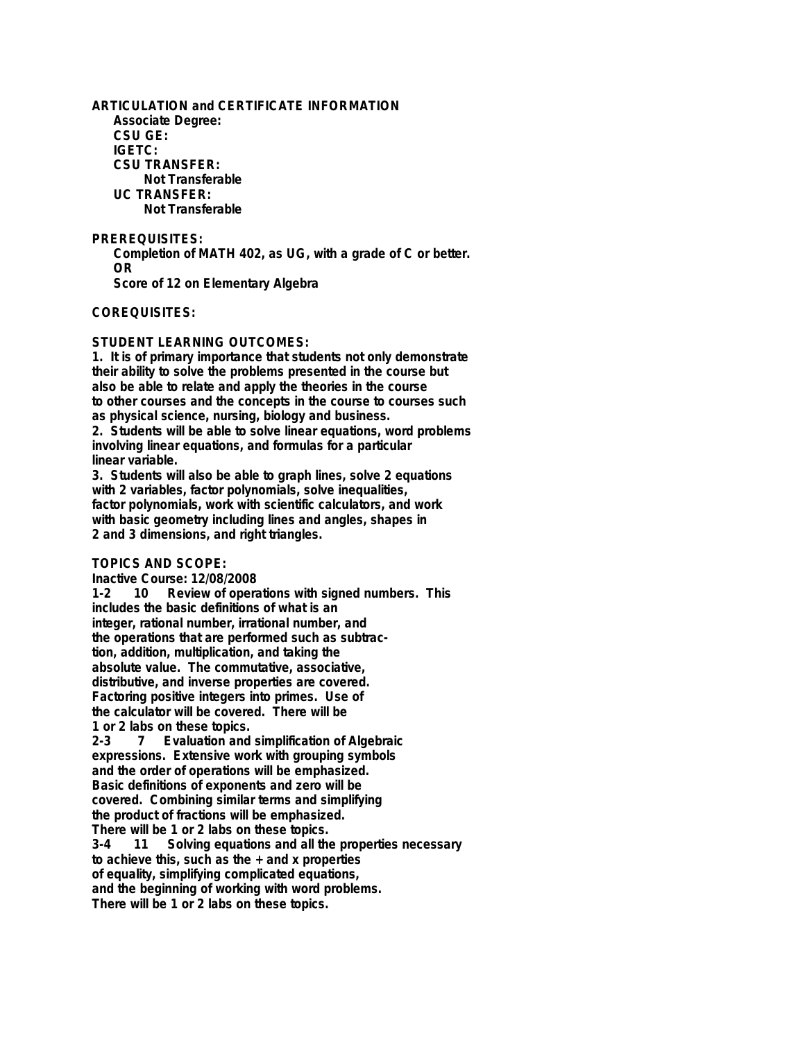**ARTICULATION and CERTIFICATE INFORMATION Associate Degree: CSU GE: IGETC: CSU TRANSFER: Not Transferable UC TRANSFER: Not Transferable**

**PREREQUISITES: Completion of MATH 402, as UG, with a grade of C or better. OR Score of 12 on Elementary Algebra**

**COREQUISITES:**

## **STUDENT LEARNING OUTCOMES:**

**1. It is of primary importance that students not only demonstrate their ability to solve the problems presented in the course but also be able to relate and apply the theories in the course** to other courses and the concepts in the course to courses such **as physical science, nursing, biology and business. 2. Students will be able to solve linear equations, word problems involving linear equations, and formulas for a particular linear variable.**

**3. Students will also be able to graph lines, solve 2 equations with 2 variables, factor polynomials, solve inequalities, factor polynomials, work with scientific calculators, and work with basic geometry including lines and angles, shapes in 2 and 3 dimensions, and right triangles.**

## **TOPICS AND SCOPE:**

**Inactive Course: 12/08/2008**

10 Review of operations with signed numbers. This **includes the basic definitions of what is an integer, rational number, irrational number, and the operations that are performed such as subtraction, addition, multiplication, and taking the absolute value. The commutative, associative, distributive, and inverse properties are covered. Factoring positive integers into primes. Use of the calculator will be covered. There will be 1 or 2 labs on these topics.**

**2-3 7 Evaluation and simplification of Algebraic expressions. Extensive work with grouping symbols and the order of operations will be emphasized. Basic definitions of exponents and zero will be covered. Combining similar terms and simplifying the product of fractions will be emphasized.**

**There will be 1 or 2 labs on these topics.** Solving equations and all the properties necessary **to achieve this, such as the + and x properties of equality, simplifying complicated equations, and the beginning of working with word problems. There will be 1 or 2 labs on these topics.**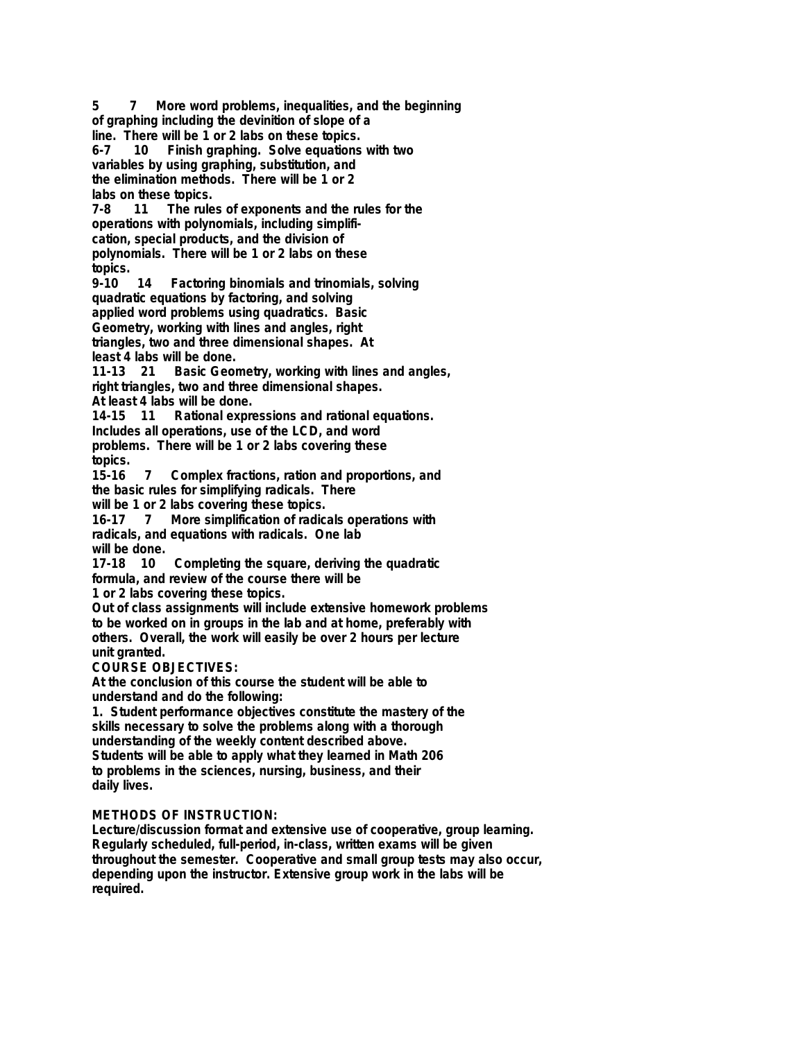**5 7 More word problems, inequalities, and the beginning of graphing including the devinition of slope of a line. There will be 1 or 2 labs on these topics. 6-7 10 Finish graphing. Solve equations with two variables by using graphing, substitution, and the elimination methods. There will be 1 or 2 labs on these topics. 11** The rules of exponents and the rules for the **operations with polynomials, including simplification, special products, and the division of polynomials. There will be 1 or 2 labs on these topics. 9-10 14 Factoring binomials and trinomials, solving quadratic equations by factoring, and solving applied word problems using quadratics. Basic Geometry, working with lines and angles, right triangles, two and three dimensional shapes. At least 4 labs will be done. 11-13 21 Basic Geometry, working with lines and angles, right triangles, two and three dimensional shapes. At least 4 labs will be done. 14-15 11 Rational expressions and rational equations. Includes all operations, use of the LCD, and word problems. There will be 1 or 2 labs covering these topics. 15-16 7 Complex fractions, ration and proportions, and the basic rules for simplifying radicals. There will be 1 or 2 labs covering these topics. 16-17 7 More simplification of radicals operations with radicals, and equations with radicals. One lab will be done. 17-18 10 Completing the square, deriving the quadratic formula, and review of the course there will be 1 or 2 labs covering these topics. Out of class assignments will include extensive homework problems to be worked on in groups in the lab and at home, preferably with others. Overall, the work will easily be over 2 hours per lecture unit granted. COURSE OBJECTIVES: At the conclusion of this course the student will be able to understand and do the following: 1. Student performance objectives constitute the mastery of the skills necessary to solve the problems along with a thorough understanding of the weekly content described above. Students will be able to apply what they learned in Math 206 to problems in the sciences, nursing, business, and their daily lives. METHODS OF INSTRUCTION: Lecture/discussion format and extensive use of cooperative, group learning.**

**Regularly scheduled, full-period, in-class, written exams will be given throughout the semester. Cooperative and small group tests may also occur, depending upon the instructor. Extensive group work in the labs will be required.**